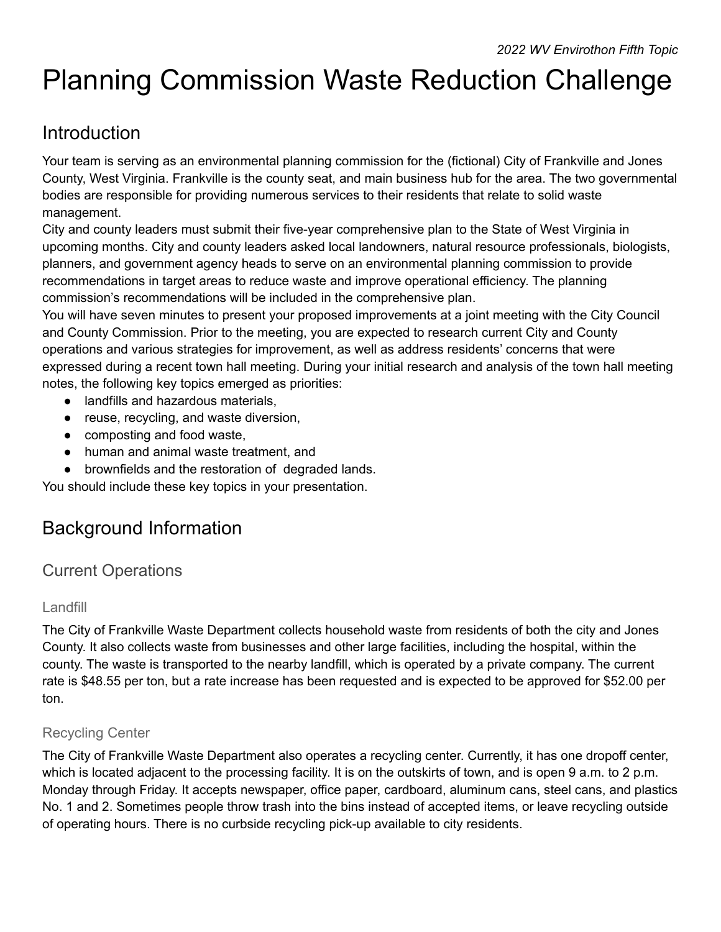# Planning Commission Waste Reduction Challenge

### Introduction

Your team is serving as an environmental planning commission for the (fictional) City of Frankville and Jones County, West Virginia. Frankville is the county seat, and main business hub for the area. The two governmental bodies are responsible for providing numerous services to their residents that relate to solid waste management.

City and county leaders must submit their five-year comprehensive plan to the State of West Virginia in upcoming months. City and county leaders asked local landowners, natural resource professionals, biologists, planners, and government agency heads to serve on an environmental planning commission to provide recommendations in target areas to reduce waste and improve operational efficiency. The planning commission's recommendations will be included in the comprehensive plan.

You will have seven minutes to present your proposed improvements at a joint meeting with the City Council and County Commission. Prior to the meeting, you are expected to research current City and County operations and various strategies for improvement, as well as address residents' concerns that were expressed during a recent town hall meeting. During your initial research and analysis of the town hall meeting notes, the following key topics emerged as priorities:

- landfills and hazardous materials,
- reuse, recycling, and waste diversion,
- composting and food waste,
- human and animal waste treatment, and
- brownfields and the restoration of degraded lands.

You should include these key topics in your presentation.

### Background Information

### Current Operations

#### Landfill

The City of Frankville Waste Department collects household waste from residents of both the city and Jones County. It also collects waste from businesses and other large facilities, including the hospital, within the county. The waste is transported to the nearby landfill, which is operated by a private company. The current rate is \$48.55 per ton, but a rate increase has been requested and is expected to be approved for \$52.00 per ton.

#### Recycling Center

The City of Frankville Waste Department also operates a recycling center. Currently, it has one dropoff center, which is located adjacent to the processing facility. It is on the outskirts of town, and is open 9 a.m. to 2 p.m. Monday through Friday. It accepts newspaper, office paper, cardboard, aluminum cans, steel cans, and plastics No. 1 and 2. Sometimes people throw trash into the bins instead of accepted items, or leave recycling outside of operating hours. There is no curbside recycling pick-up available to city residents.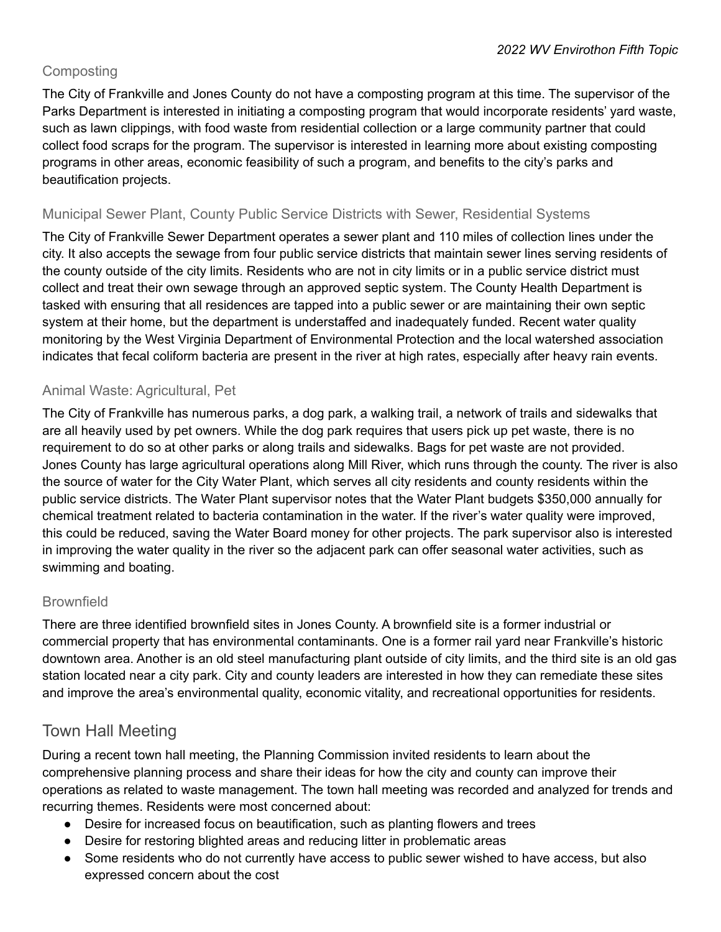#### **Composting**

The City of Frankville and Jones County do not have a composting program at this time. The supervisor of the Parks Department is interested in initiating a composting program that would incorporate residents' yard waste, such as lawn clippings, with food waste from residential collection or a large community partner that could collect food scraps for the program. The supervisor is interested in learning more about existing composting programs in other areas, economic feasibility of such a program, and benefits to the city's parks and beautification projects.

#### Municipal Sewer Plant, County Public Service Districts with Sewer, Residential Systems

The City of Frankville Sewer Department operates a sewer plant and 110 miles of collection lines under the city. It also accepts the sewage from four public service districts that maintain sewer lines serving residents of the county outside of the city limits. Residents who are not in city limits or in a public service district must collect and treat their own sewage through an approved septic system. The County Health Department is tasked with ensuring that all residences are tapped into a public sewer or are maintaining their own septic system at their home, but the department is understaffed and inadequately funded. Recent water quality monitoring by the West Virginia Department of Environmental Protection and the local watershed association indicates that fecal coliform bacteria are present in the river at high rates, especially after heavy rain events.

#### Animal Waste: Agricultural, Pet

The City of Frankville has numerous parks, a dog park, a walking trail, a network of trails and sidewalks that are all heavily used by pet owners. While the dog park requires that users pick up pet waste, there is no requirement to do so at other parks or along trails and sidewalks. Bags for pet waste are not provided. Jones County has large agricultural operations along Mill River, which runs through the county. The river is also the source of water for the City Water Plant, which serves all city residents and county residents within the public service districts. The Water Plant supervisor notes that the Water Plant budgets \$350,000 annually for chemical treatment related to bacteria contamination in the water. If the river's water quality were improved, this could be reduced, saving the Water Board money for other projects. The park supervisor also is interested in improving the water quality in the river so the adjacent park can offer seasonal water activities, such as swimming and boating.

#### **Brownfield**

There are three identified brownfield sites in Jones County. A brownfield site is a former industrial or commercial property that has environmental contaminants. One is a former rail yard near Frankville's historic downtown area. Another is an old steel manufacturing plant outside of city limits, and the third site is an old gas station located near a city park. City and county leaders are interested in how they can remediate these sites and improve the area's environmental quality, economic vitality, and recreational opportunities for residents.

#### Town Hall Meeting

During a recent town hall meeting, the Planning Commission invited residents to learn about the comprehensive planning process and share their ideas for how the city and county can improve their operations as related to waste management. The town hall meeting was recorded and analyzed for trends and recurring themes. Residents were most concerned about:

- Desire for increased focus on beautification, such as planting flowers and trees
- Desire for restoring blighted areas and reducing litter in problematic areas
- Some residents who do not currently have access to public sewer wished to have access, but also expressed concern about the cost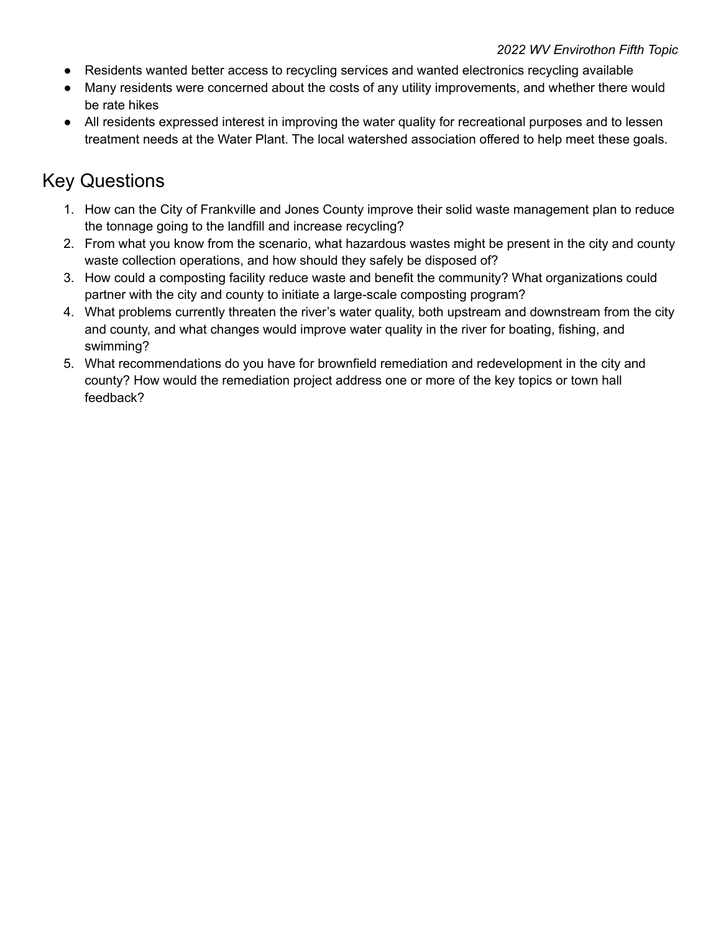- Residents wanted better access to recycling services and wanted electronics recycling available
- Many residents were concerned about the costs of any utility improvements, and whether there would be rate hikes
- All residents expressed interest in improving the water quality for recreational purposes and to lessen treatment needs at the Water Plant. The local watershed association offered to help meet these goals.

### Key Questions

- 1. How can the City of Frankville and Jones County improve their solid waste management plan to reduce the tonnage going to the landfill and increase recycling?
- 2. From what you know from the scenario, what hazardous wastes might be present in the city and county waste collection operations, and how should they safely be disposed of?
- 3. How could a composting facility reduce waste and benefit the community? What organizations could partner with the city and county to initiate a large-scale composting program?
- 4. What problems currently threaten the river's water quality, both upstream and downstream from the city and county, and what changes would improve water quality in the river for boating, fishing, and swimming?
- 5. What recommendations do you have for brownfield remediation and redevelopment in the city and county? How would the remediation project address one or more of the key topics or town hall feedback?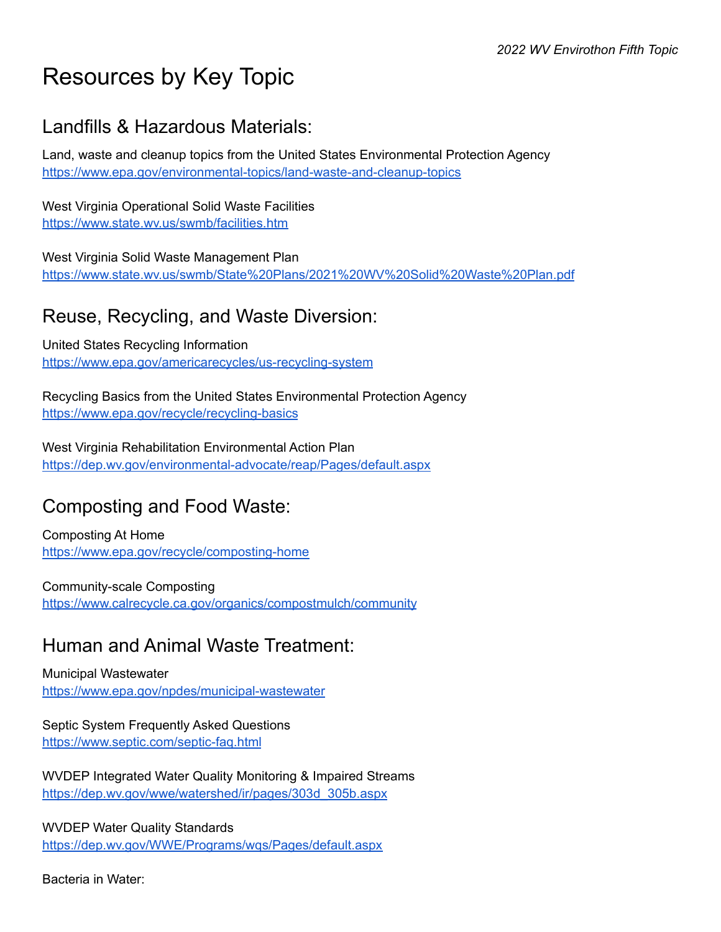## Resources by Key Topic

### Landfills & Hazardous Materials:

Land, waste and cleanup topics from the United States Environmental Protection Agency <https://www.epa.gov/environmental-topics/land-waste-and-cleanup-topics>

West Virginia Operational Solid Waste Facilities <https://www.state.wv.us/swmb/facilities.htm>

West Virginia Solid Waste Management Plan <https://www.state.wv.us/swmb/State%20Plans/2021%20WV%20Solid%20Waste%20Plan.pdf>

### Reuse, Recycling, and Waste Diversion:

United States Recycling Information <https://www.epa.gov/americarecycles/us-recycling-system>

Recycling Basics from the United States Environmental Protection Agency <https://www.epa.gov/recycle/recycling-basics>

West Virginia Rehabilitation Environmental Action Plan <https://dep.wv.gov/environmental-advocate/reap/Pages/default.aspx>

### Composting and Food Waste:

Composting At Home <https://www.epa.gov/recycle/composting-home>

Community-scale Composting <https://www.calrecycle.ca.gov/organics/compostmulch/community>

### Human and Animal Waste Treatment:

Municipal Wastewater <https://www.epa.gov/npdes/municipal-wastewater>

Septic System Frequently Asked Questions <https://www.septic.com/septic-faq.html>

WVDEP Integrated Water Quality Monitoring & Impaired Streams [https://dep.wv.gov/wwe/watershed/ir/pages/303d\\_305b.aspx](https://dep.wv.gov/wwe/watershed/ir/pages/303d_305b.aspx)

WVDEP Water Quality Standards <https://dep.wv.gov/WWE/Programs/wqs/Pages/default.aspx>

Bacteria in Water: